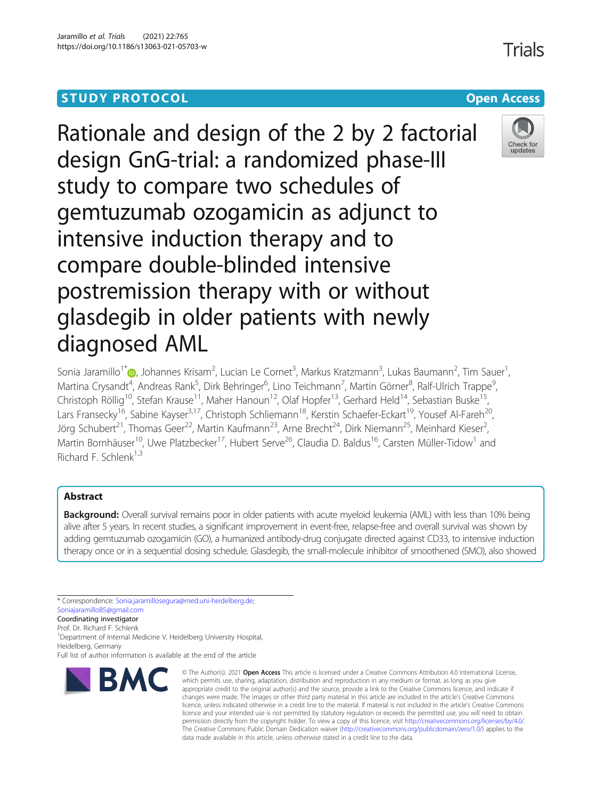# **STUDY PROTOCOL CONSUMING THE RESERVE ACCESS**



Sonia Jaramillo<sup>1\*</sup>�[,](http://orcid.org/0000-0002-2397-3070) Johannes Krisam<sup>2</sup>, Lucian Le Cornet<sup>3</sup>, Markus Kratzmann<sup>3</sup>, Lukas Baumann<sup>2</sup>, Tim Sauer<sup>1</sup> , Martina Crysandt<sup>4</sup>, Andreas Rank<sup>5</sup>, Dirk Behringer<sup>6</sup>, Lino Teichmann<sup>7</sup>, Martin Görner<sup>8</sup>, Ralf-Ulrich Trappe<sup>s</sup> , Christoph Röllig<sup>10</sup>, Stefan Krause<sup>11</sup>, Maher Hanoun<sup>12</sup>, Olaf Hopfer<sup>13</sup>, Gerhard Held<sup>14</sup>, Sebastian Buske<sup>15</sup>, Lars Fransecky<sup>16</sup>, Sabine Kayser<sup>3,17</sup>, Christoph Schliemann<sup>18</sup>, Kerstin Schaefer-Eckart<sup>19</sup>, Yousef Al-Fareh<sup>20</sup>, Jörg Schubert<sup>21</sup>, Thomas Geer<sup>22</sup>, Martin Kaufmann<sup>23</sup>, Arne Brecht<sup>24</sup>, Dirk Niemann<sup>25</sup>, Meinhard Kieser<sup>2</sup>, , Martin Bornhäuser<sup>10</sup>, Uwe Platzbecker<sup>17</sup>, Hubert Serve<sup>26</sup>, Claudia D. Baldus<sup>16</sup>, Carsten Müller-Tidow<sup>1</sup> and Richard F. Schlenk<sup>1,3</sup>

# Abstract

Background: Overall survival remains poor in older patients with acute myeloid leukemia (AML) with less than 10% being alive after 5 years. In recent studies, a significant improvement in event-free, relapse-free and overall survival was shown by adding gemtuzumab ozogamicin (GO), a humanized antibody-drug conjugate directed against CD33, to intensive induction therapy once or in a sequential dosing schedule. Glasdegib, the small-molecule inhibitor of smoothened (SMO), also showed

\* Correspondence: [Sonia.jaramillosegura@med.uni-heidelberg.de](mailto:Sonia.jaramillosegura@med.uni-heidelberg.de); [Soniajaramillo85@gmail.com](mailto:Soniajaramillo85@gmail.com)

Coordinating investigator

Prof. Dr. Richard F. Schlenk

<sup>1</sup>Department of Internal Medicine V, Heidelberg University Hospital, Heidelberg, Germany

Full list of author information is available at the end of the article



<sup>©</sup> The Author(s), 2021 **Open Access** This article is licensed under a Creative Commons Attribution 4.0 International License, which permits use, sharing, adaptation, distribution and reproduction in any medium or format, as long as you give appropriate credit to the original author(s) and the source, provide a link to the Creative Commons licence, and indicate if changes were made. The images or other third party material in this article are included in the article's Creative Commons licence, unless indicated otherwise in a credit line to the material. If material is not included in the article's Creative Commons licence and your intended use is not permitted by statutory regulation or exceeds the permitted use, you will need to obtain permission directly from the copyright holder. To view a copy of this licence, visit [http://creativecommons.org/licenses/by/4.0/.](http://creativecommons.org/licenses/by/4.0/) The Creative Commons Public Domain Dedication waiver [\(http://creativecommons.org/publicdomain/zero/1.0/](http://creativecommons.org/publicdomain/zero/1.0/)) applies to the data made available in this article, unless otherwise stated in a credit line to the data.

Trials

Check for updates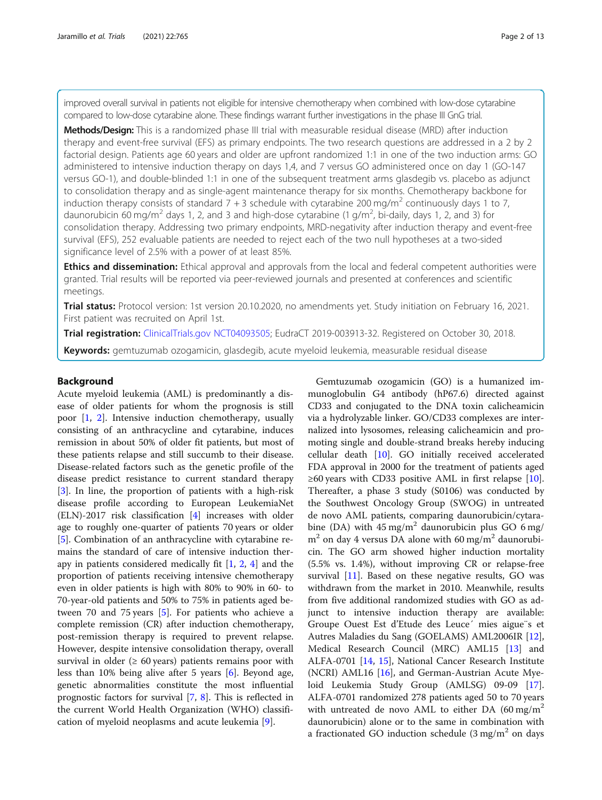improved overall survival in patients not eligible for intensive chemotherapy when combined with low-dose cytarabine compared to low-dose cytarabine alone. These findings warrant further investigations in the phase III GnG trial.

**Methods/Design:** This is a randomized phase III trial with measurable residual disease (MRD) after induction therapy and event-free survival (EFS) as primary endpoints. The two research questions are addressed in a 2 by 2 factorial design. Patients age 60 years and older are upfront randomized 1:1 in one of the two induction arms: GO administered to intensive induction therapy on days 1,4, and 7 versus GO administered once on day 1 (GO-147 versus GO-1), and double-blinded 1:1 in one of the subsequent treatment arms glasdegib vs. placebo as adjunct to consolidation therapy and as single-agent maintenance therapy for six months. Chemotherapy backbone for induction therapy consists of standard  $7 + 3$  schedule with cytarabine 200 mg/m<sup>2</sup> continuously days 1 to 7, daunorubicin 60 mg/m<sup>2</sup> days 1, 2, and 3 and high-dose cytarabine (1 g/m<sup>2</sup>, bi-daily, days 1, 2, and 3) for consolidation therapy. Addressing two primary endpoints, MRD-negativity after induction therapy and event-free survival (EFS), 252 evaluable patients are needed to reject each of the two null hypotheses at a two-sided significance level of 2.5% with a power of at least 85%.

**Ethics and dissemination:** Ethical approval and approvals from the local and federal competent authorities were granted. Trial results will be reported via peer-reviewed journals and presented at conferences and scientific meetings.

Trial status: Protocol version: 1st version 20.10.2020, no amendments yet. Study initiation on February 16, 2021. First patient was recruited on April 1st.

Trial registration: [ClinicalTrials.gov](http://clinicaltrials.gov) [NCT04093505;](https://clinicaltrials.gov/ct2/show/NCT04093505) EudraCT 2019-003913-32. Registered on October 30, 2018.

Keywords: gemtuzumab ozogamicin, glasdegib, acute myeloid leukemia, measurable residual disease

#### Background

Acute myeloid leukemia (AML) is predominantly a disease of older patients for whom the prognosis is still poor [[1,](#page-10-0) [2\]](#page-11-0). Intensive induction chemotherapy, usually consisting of an anthracycline and cytarabine, induces remission in about 50% of older fit patients, but most of these patients relapse and still succumb to their disease. Disease-related factors such as the genetic profile of the disease predict resistance to current standard therapy [[3\]](#page-11-0). In line, the proportion of patients with a high-risk disease profile according to European LeukemiaNet (ELN)-2017 risk classification [[4\]](#page-11-0) increases with older age to roughly one-quarter of patients 70 years or older [[5\]](#page-11-0). Combination of an anthracycline with cytarabine remains the standard of care of intensive induction therapy in patients considered medically fit [\[1](#page-10-0), [2,](#page-11-0) [4](#page-11-0)] and the proportion of patients receiving intensive chemotherapy even in older patients is high with 80% to 90% in 60- to 70-year-old patients and 50% to 75% in patients aged between 70 and 75 years [[5\]](#page-11-0). For patients who achieve a complete remission (CR) after induction chemotherapy, post-remission therapy is required to prevent relapse. However, despite intensive consolidation therapy, overall survival in older ( $\geq 60$  years) patients remains poor with less than 10% being alive after 5 years [\[6](#page-11-0)]. Beyond age, genetic abnormalities constitute the most influential prognostic factors for survival [[7,](#page-11-0) [8](#page-11-0)]. This is reflected in the current World Health Organization (WHO) classification of myeloid neoplasms and acute leukemia [\[9](#page-11-0)].

Gemtuzumab ozogamicin (GO) is a humanized immunoglobulin G4 antibody (hP67.6) directed against CD33 and conjugated to the DNA toxin calicheamicin via a hydrolyzable linker. GO/CD33 complexes are internalized into lysosomes, releasing calicheamicin and promoting single and double-strand breaks hereby inducing cellular death [\[10](#page-11-0)]. GO initially received accelerated FDA approval in 2000 for the treatment of patients aged  $≥60$  years with CD33 positive AML in first relapse [\[10](#page-11-0)]. Thereafter, a phase 3 study (S0106) was conducted by the Southwest Oncology Group (SWOG) in untreated de novo AML patients, comparing daunorubicin/cytarabine (DA) with  $45 \text{ mg/m}^2$  daunorubicin plus GO 6 mg/  $m<sup>2</sup>$  on day 4 versus DA alone with 60 mg/m<sup>2</sup> daunorubicin. The GO arm showed higher induction mortality (5.5% vs. 1.4%), without improving CR or relapse-free survival [[11\]](#page-11-0). Based on these negative results, GO was withdrawn from the market in 2010. Meanwhile, results from five additional randomized studies with GO as adjunct to intensive induction therapy are available: Groupe Ouest Est d'Etude des Leuce´ mies aigue¨s et Autres Maladies du Sang (GOELAMS) AML2006IR [\[12](#page-11-0)], Medical Research Council (MRC) AML15 [[13](#page-11-0)] and ALFA-0701 [\[14](#page-11-0), [15](#page-11-0)], National Cancer Research Institute (NCRI) AML16 [\[16](#page-11-0)], and German-Austrian Acute Myeloid Leukemia Study Group (AMLSG) 09-09 [\[17](#page-11-0)]. ALFA-0701 randomized 278 patients aged 50 to 70 years with untreated de novo AML to either DA  $(60 \text{ mg/m}^2)$ daunorubicin) alone or to the same in combination with a fractionated GO induction schedule  $(3 \text{ mg/m}^2)$  on days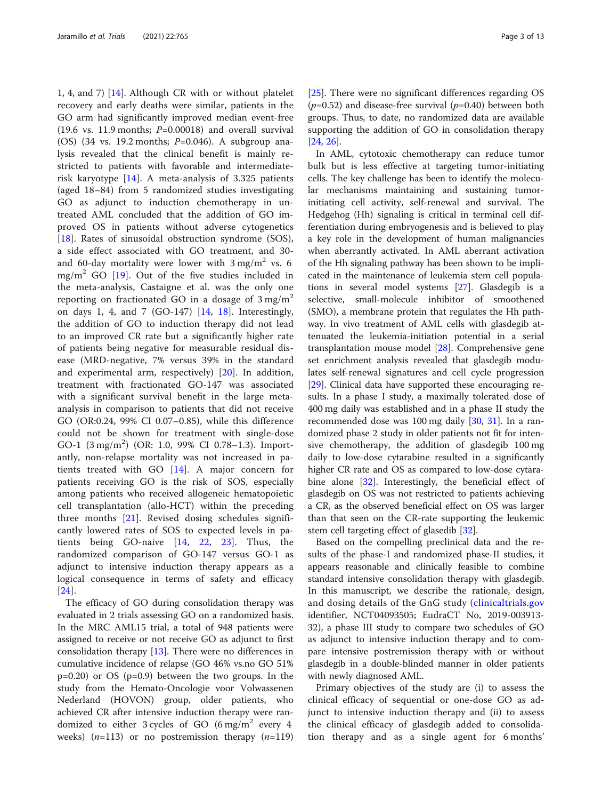1, 4, and 7) [[14\]](#page-11-0). Although CR with or without platelet recovery and early deaths were similar, patients in the GO arm had significantly improved median event-free (19.6 vs. 11.9 months;  $P=0.00018$ ) and overall survival (OS) (34 vs. 19.2 months;  $P=0.046$ ). A subgroup analysis revealed that the clinical benefit is mainly restricted to patients with favorable and intermediaterisk karyotype [\[14](#page-11-0)]. A meta-analysis of 3.325 patients (aged 18–84) from 5 randomized studies investigating GO as adjunct to induction chemotherapy in untreated AML concluded that the addition of GO improved OS in patients without adverse cytogenetics [[18\]](#page-11-0). Rates of sinusoidal obstruction syndrome (SOS), a side effect associated with GO treatment, and 30 and 60-day mortality were lower with  $3 \text{ mg/m}^2$  vs. 6 mg/m<sup>2</sup> GO  $[19]$  $[19]$  $[19]$ . Out of the five studies included in the meta-analysis, Castaigne et al. was the only one reporting on fractionated GO in a dosage of  $3 \text{ mg/m}^2$ on days 1, 4, and 7 (GO-147) [[14,](#page-11-0) [18\]](#page-11-0). Interestingly, the addition of GO to induction therapy did not lead to an improved CR rate but a significantly higher rate of patients being negative for measurable residual disease (MRD-negative, 7% versus 39% in the standard and experimental arm, respectively) [[20\]](#page-11-0). In addition, treatment with fractionated GO-147 was associated with a significant survival benefit in the large metaanalysis in comparison to patients that did not receive GO (OR:0.24, 99% CI 0.07–0.85), while this difference could not be shown for treatment with single-dose GO-1 (3 mg/m<sup>2</sup>) (OR: 1.0, 99% CI 0.78-1.3). Importantly, non-relapse mortality was not increased in patients treated with GO [[14\]](#page-11-0). A major concern for patients receiving GO is the risk of SOS, especially among patients who received allogeneic hematopoietic cell transplantation (allo-HCT) within the preceding three months [\[21](#page-11-0)]. Revised dosing schedules significantly lowered rates of SOS to expected levels in patients being GO-naive [\[14](#page-11-0), [22](#page-11-0), [23](#page-11-0)]. Thus, the randomized comparison of GO-147 versus GO-1 as adjunct to intensive induction therapy appears as a logical consequence in terms of safety and efficacy [[24\]](#page-11-0).

The efficacy of GO during consolidation therapy was evaluated in 2 trials assessing GO on a randomized basis. In the MRC AML15 trial, a total of 948 patients were assigned to receive or not receive GO as adjunct to first consolidation therapy [\[13\]](#page-11-0). There were no differences in cumulative incidence of relapse (GO 46% vs.no GO 51% p=0.20) or OS (p=0.9) between the two groups. In the study from the Hemato-Oncologie voor Volwassenen Nederland (HOVON) group, older patients, who achieved CR after intensive induction therapy were randomized to either 3 cycles of GO  $(6 \text{ mg/m}^2 \text{ every } 4$ weeks)  $(n=113)$  or no postremission therapy  $(n=119)$  [[25\]](#page-11-0). There were no significant differences regarding OS  $(p=0.52)$  and disease-free survival  $(p=0.40)$  between both groups. Thus, to date, no randomized data are available supporting the addition of GO in consolidation therapy [[24,](#page-11-0) [26\]](#page-11-0).

In AML, cytotoxic chemotherapy can reduce tumor bulk but is less effective at targeting tumor-initiating cells. The key challenge has been to identify the molecular mechanisms maintaining and sustaining tumorinitiating cell activity, self-renewal and survival. The Hedgehog (Hh) signaling is critical in terminal cell differentiation during embryogenesis and is believed to play a key role in the development of human malignancies when aberrantly activated. In AML aberrant activation of the Hh signaling pathway has been shown to be implicated in the maintenance of leukemia stem cell populations in several model systems [\[27](#page-11-0)]. Glasdegib is a selective, small-molecule inhibitor of smoothened (SMO), a membrane protein that regulates the Hh pathway. In vivo treatment of AML cells with glasdegib attenuated the leukemia-initiation potential in a serial transplantation mouse model [\[28](#page-11-0)]. Comprehensive gene set enrichment analysis revealed that glasdegib modulates self-renewal signatures and cell cycle progression [[29\]](#page-11-0). Clinical data have supported these encouraging results. In a phase I study, a maximally tolerated dose of 400 mg daily was established and in a phase II study the recommended dose was 100 mg daily [[30,](#page-11-0) [31](#page-11-0)]. In a randomized phase 2 study in older patients not fit for intensive chemotherapy, the addition of glasdegib 100 mg daily to low-dose cytarabine resulted in a significantly higher CR rate and OS as compared to low-dose cytarabine alone [\[32\]](#page-11-0). Interestingly, the beneficial effect of glasdegib on OS was not restricted to patients achieving a CR, as the observed beneficial effect on OS was larger than that seen on the CR-rate supporting the leukemic stem cell targeting effect of glasedib [[32\]](#page-11-0).

Based on the compelling preclinical data and the results of the phase-I and randomized phase-II studies, it appears reasonable and clinically feasible to combine standard intensive consolidation therapy with glasdegib. In this manuscript, we describe the rationale, design, and dosing details of the GnG study ([clinicaltrials.gov](http://clinicaltrials.gov) identifier, NCT04093505; EudraCT No, 2019-003913- 32), a phase III study to compare two schedules of GO as adjunct to intensive induction therapy and to compare intensive postremission therapy with or without glasdegib in a double-blinded manner in older patients with newly diagnosed AML.

Primary objectives of the study are (i) to assess the clinical efficacy of sequential or one-dose GO as adjunct to intensive induction therapy and (ii) to assess the clinical efficacy of glasdegib added to consolidation therapy and as a single agent for 6 months'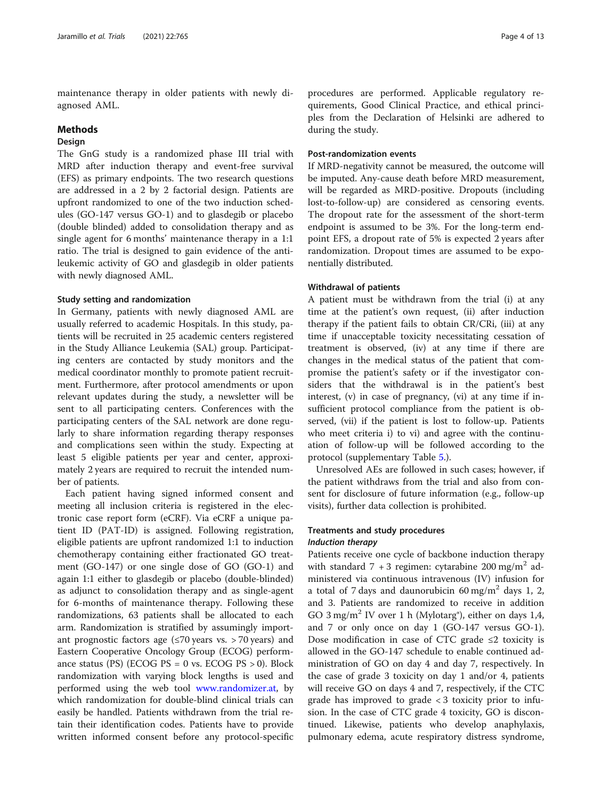maintenance therapy in older patients with newly diagnosed AML.

## Methods

# Design

The GnG study is a randomized phase III trial with MRD after induction therapy and event-free survival (EFS) as primary endpoints. The two research questions are addressed in a 2 by 2 factorial design. Patients are upfront randomized to one of the two induction schedules (GO-147 versus GO-1) and to glasdegib or placebo (double blinded) added to consolidation therapy and as single agent for 6 months' maintenance therapy in a 1:1 ratio. The trial is designed to gain evidence of the antileukemic activity of GO and glasdegib in older patients with newly diagnosed AML.

#### Study setting and randomization

In Germany, patients with newly diagnosed AML are usually referred to academic Hospitals. In this study, patients will be recruited in 25 academic centers registered in the Study Alliance Leukemia (SAL) group. Participating centers are contacted by study monitors and the medical coordinator monthly to promote patient recruitment. Furthermore, after protocol amendments or upon relevant updates during the study, a newsletter will be sent to all participating centers. Conferences with the participating centers of the SAL network are done regularly to share information regarding therapy responses and complications seen within the study. Expecting at least 5 eligible patients per year and center, approximately 2 years are required to recruit the intended number of patients.

Each patient having signed informed consent and meeting all inclusion criteria is registered in the electronic case report form (eCRF). Via eCRF a unique patient ID (PAT-ID) is assigned. Following registration, eligible patients are upfront randomized 1:1 to induction chemotherapy containing either fractionated GO treatment (GO-147) or one single dose of GO (GO-1) and again 1:1 either to glasdegib or placebo (double-blinded) as adjunct to consolidation therapy and as single-agent for 6-months of maintenance therapy. Following these randomizations, 63 patients shall be allocated to each arm. Randomization is stratified by assumingly important prognostic factors age  $(\leq 70 \text{ years} \text{ vs. } > 70 \text{ years})$  and Eastern Cooperative Oncology Group (ECOG) performance status (PS) (ECOG PS = 0 vs. ECOG PS  $>$  0). Block randomization with varying block lengths is used and performed using the web tool [www.randomizer.at](http://www.randomizer.at), by which randomization for double-blind clinical trials can easily be handled. Patients withdrawn from the trial retain their identification codes. Patients have to provide written informed consent before any protocol-specific

procedures are performed. Applicable regulatory requirements, Good Clinical Practice, and ethical principles from the Declaration of Helsinki are adhered to during the study.

## Post-randomization events

If MRD-negativity cannot be measured, the outcome will be imputed. Any-cause death before MRD measurement, will be regarded as MRD-positive. Dropouts (including lost-to-follow-up) are considered as censoring events. The dropout rate for the assessment of the short-term endpoint is assumed to be 3%. For the long-term endpoint EFS, a dropout rate of 5% is expected 2 years after randomization. Dropout times are assumed to be exponentially distributed.

#### Withdrawal of patients

A patient must be withdrawn from the trial (i) at any time at the patient's own request, (ii) after induction therapy if the patient fails to obtain CR/CRi, (iii) at any time if unacceptable toxicity necessitating cessation of treatment is observed, (iv) at any time if there are changes in the medical status of the patient that compromise the patient's safety or if the investigator considers that the withdrawal is in the patient's best interest, (v) in case of pregnancy, (vi) at any time if insufficient protocol compliance from the patient is observed, (vii) if the patient is lost to follow-up. Patients who meet criteria i) to vi) and agree with the continuation of follow-up will be followed according to the protocol (supplementary Table [5](#page-10-0).).

Unresolved AEs are followed in such cases; however, if the patient withdraws from the trial and also from consent for disclosure of future information (e.g., follow-up visits), further data collection is prohibited.

# Treatments and study procedures

# Induction therapy

Patients receive one cycle of backbone induction therapy with standard  $7 + 3$  regimen: cytarabine 200 mg/m<sup>2</sup> administered via continuous intravenous (IV) infusion for a total of 7 days and daunorubicin 60 mg/m<sup>2</sup> days 1, 2, and 3. Patients are randomized to receive in addition GO 3 mg/m<sup>2</sup> IV over 1 h (Mylotarg<sup>®</sup>), either on days 1,4, and 7 or only once on day 1 (GO-147 versus GO-1). Dose modification in case of CTC grade  $\leq$  toxicity is allowed in the GO-147 schedule to enable continued administration of GO on day 4 and day 7, respectively. In the case of grade 3 toxicity on day 1 and/or 4, patients will receive GO on days 4 and 7, respectively, if the CTC grade has improved to grade < 3 toxicity prior to infusion. In the case of CTC grade 4 toxicity, GO is discontinued. Likewise, patients who develop anaphylaxis, pulmonary edema, acute respiratory distress syndrome,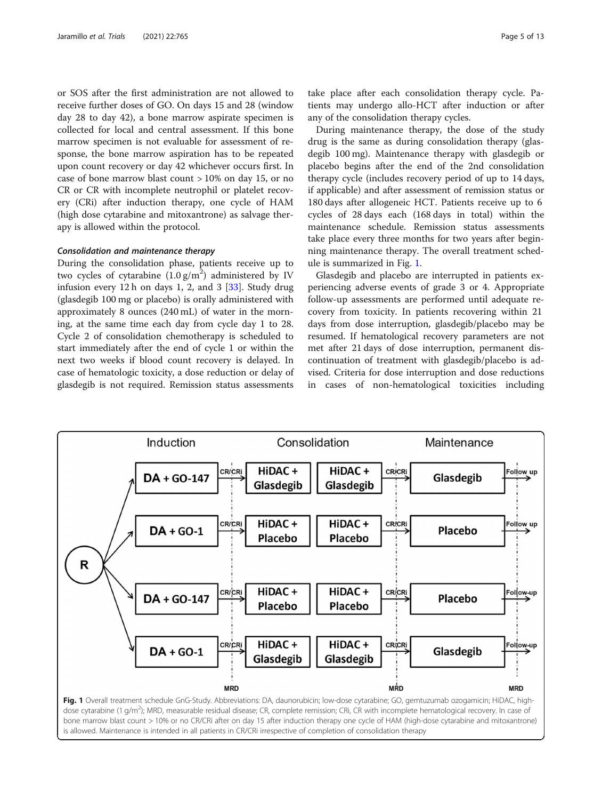or SOS after the first administration are not allowed to receive further doses of GO. On days 15 and 28 (window day 28 to day 42), a bone marrow aspirate specimen is collected for local and central assessment. If this bone marrow specimen is not evaluable for assessment of response, the bone marrow aspiration has to be repeated upon count recovery or day 42 whichever occurs first. In case of bone marrow blast count > 10% on day 15, or no CR or CR with incomplete neutrophil or platelet recovery (CRi) after induction therapy, one cycle of HAM (high dose cytarabine and mitoxantrone) as salvage therapy is allowed within the protocol.

## Consolidation and maintenance therapy

During the consolidation phase, patients receive up to two cycles of cytarabine  $(1.0 \text{ g/m}^2)$  administered by IV infusion every 12 h on days 1, 2, and 3  $[33]$ . Study drug (glasdegib 100 mg or placebo) is orally administered with approximately 8 ounces (240 mL) of water in the morning, at the same time each day from cycle day 1 to 28. Cycle 2 of consolidation chemotherapy is scheduled to start immediately after the end of cycle 1 or within the next two weeks if blood count recovery is delayed. In case of hematologic toxicity, a dose reduction or delay of glasdegib is not required. Remission status assessments

take place after each consolidation therapy cycle. Patients may undergo allo-HCT after induction or after any of the consolidation therapy cycles.

During maintenance therapy, the dose of the study drug is the same as during consolidation therapy (glasdegib 100 mg). Maintenance therapy with glasdegib or placebo begins after the end of the 2nd consolidation therapy cycle (includes recovery period of up to 14 days, if applicable) and after assessment of remission status or 180 days after allogeneic HCT. Patients receive up to 6 cycles of 28 days each (168 days in total) within the maintenance schedule. Remission status assessments take place every three months for two years after beginning maintenance therapy. The overall treatment schedule is summarized in Fig. 1.

Glasdegib and placebo are interrupted in patients experiencing adverse events of grade 3 or 4. Appropriate follow-up assessments are performed until adequate recovery from toxicity. In patients recovering within 21 days from dose interruption, glasdegib/placebo may be resumed. If hematological recovery parameters are not met after 21 days of dose interruption, permanent discontinuation of treatment with glasdegib/placebo is advised. Criteria for dose interruption and dose reductions in cases of non-hematological toxicities including

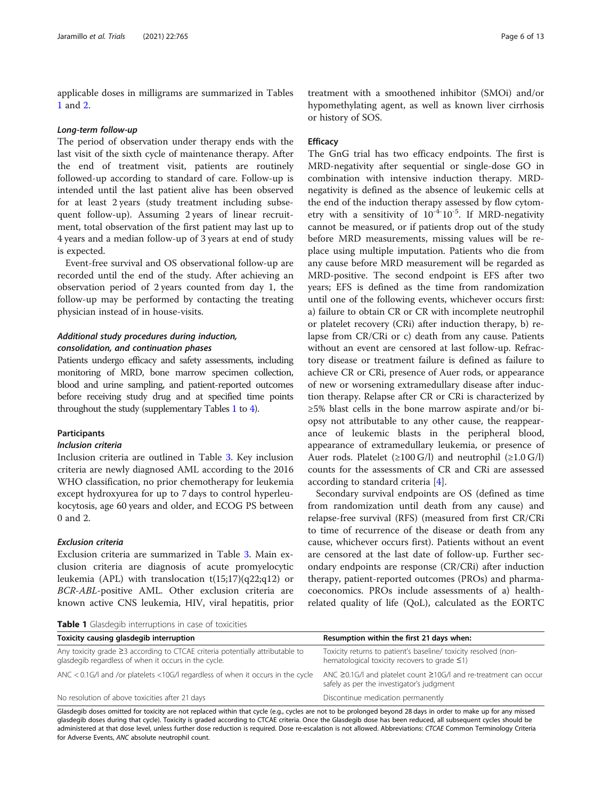applicable doses in milligrams are summarized in Tables 1 and [2](#page-6-0).

#### Long-term follow-up

The period of observation under therapy ends with the last visit of the sixth cycle of maintenance therapy. After the end of treatment visit, patients are routinely followed-up according to standard of care. Follow-up is intended until the last patient alive has been observed for at least 2 years (study treatment including subsequent follow-up). Assuming 2 years of linear recruitment, total observation of the first patient may last up to 4 years and a median follow-up of 3 years at end of study is expected.

Event-free survival and OS observational follow-up are recorded until the end of the study. After achieving an observation period of 2 years counted from day 1, the follow-up may be performed by contacting the treating physician instead of in house-visits.

## Additional study procedures during induction, consolidation, and continuation phases

Patients undergo efficacy and safety assessments, including monitoring of MRD, bone marrow specimen collection, blood and urine sampling, and patient-reported outcomes before receiving study drug and at specified time points throughout the study (supplementary Tables [1](#page-10-0) to [4\)](#page-10-0).

#### Participants

#### Inclusion criteria

Inclusion criteria are outlined in Table [3](#page-7-0). Key inclusion criteria are newly diagnosed AML according to the 2016 WHO classification, no prior chemotherapy for leukemia except hydroxyurea for up to 7 days to control hyperleukocytosis, age 60 years and older, and ECOG PS between 0 and 2.

## Exclusion criteria

Exclusion criteria are summarized in Table [3](#page-7-0). Main exclusion criteria are diagnosis of acute promyelocytic leukemia (APL) with translocation  $t(15;17)(q22;q12)$  or BCR-ABL-positive AML. Other exclusion criteria are known active CNS leukemia, HIV, viral hepatitis, prior

treatment with a smoothened inhibitor (SMOi) and/or hypomethylating agent, as well as known liver cirrhosis or history of SOS.

## **Efficacy**

The GnG trial has two efficacy endpoints. The first is MRD-negativity after sequential or single-dose GO in combination with intensive induction therapy. MRDnegativity is defined as the absence of leukemic cells at the end of the induction therapy assessed by flow cytometry with a sensitivity of  $10^{-4}$ - $10^{-5}$ . If MRD-negativity cannot be measured, or if patients drop out of the study before MRD measurements, missing values will be replace using multiple imputation. Patients who die from any cause before MRD measurement will be regarded as MRD-positive. The second endpoint is EFS after two years; EFS is defined as the time from randomization until one of the following events, whichever occurs first: a) failure to obtain CR or CR with incomplete neutrophil or platelet recovery (CRi) after induction therapy, b) relapse from CR/CRi or c) death from any cause. Patients without an event are censored at last follow-up. Refractory disease or treatment failure is defined as failure to achieve CR or CRi, presence of Auer rods, or appearance of new or worsening extramedullary disease after induction therapy. Relapse after CR or CRi is characterized by ≥5% blast cells in the bone marrow aspirate and/or biopsy not attributable to any other cause, the reappearance of leukemic blasts in the peripheral blood, appearance of extramedullary leukemia, or presence of Auer rods. Platelet  $(\geq 100 \text{ G/l})$  and neutrophil  $(\geq 1.0 \text{ G/l})$ counts for the assessments of CR and CRi are assessed according to standard criteria [[4\]](#page-11-0).

Secondary survival endpoints are OS (defined as time from randomization until death from any cause) and relapse-free survival (RFS) (measured from first CR/CRi to time of recurrence of the disease or death from any cause, whichever occurs first). Patients without an event are censored at the last date of follow-up. Further secondary endpoints are response (CR/CRi) after induction therapy, patient-reported outcomes (PROs) and pharmacoeconomics. PROs include assessments of a) healthrelated quality of life (QoL), calculated as the EORTC

Table 1 Glasdegib interruptions in case of toxicities

| <b>Fable I</b> Glasacque interruptions in ease of toxicities                                                                                |                                                                                                                           |  |
|---------------------------------------------------------------------------------------------------------------------------------------------|---------------------------------------------------------------------------------------------------------------------------|--|
| Toxicity causing glasdegib interruption                                                                                                     | Resumption within the first 21 days when:                                                                                 |  |
| Any toxicity grade $\geq$ 3 according to CTCAE criteria potentially attributable to<br>glasdegib regardless of when it occurs in the cycle. | Toxicity returns to patient's baseline/ toxicity resolved (non-<br>hematological toxicity recovers to grade $\leq$ 1)     |  |
| ANC $<$ 0.1G/l and /or platelets $<$ 10G/l regardless of when it occurs in the cycle                                                        | ANC $\geq$ 0.1G/l and platelet count $\geq$ 10G/l and re-treatment can occur<br>safely as per the investigator's judgment |  |
| No resolution of above toxicities after 21 days                                                                                             | Discontinue medication permanently                                                                                        |  |

Glasdegib doses omitted for toxicity are not replaced within that cycle (e.g., cycles are not to be prolonged beyond 28 days in order to make up for any missed glasdegib doses during that cycle). Toxicity is graded according to CTCAE criteria. Once the Glasdegib dose has been reduced, all subsequent cycles should be administered at that dose level, unless further dose reduction is required. Dose re-escalation is not allowed. Abbreviations: CTCAE Common Terminology Criteria for Adverse Events, ANC absolute neutrophil count.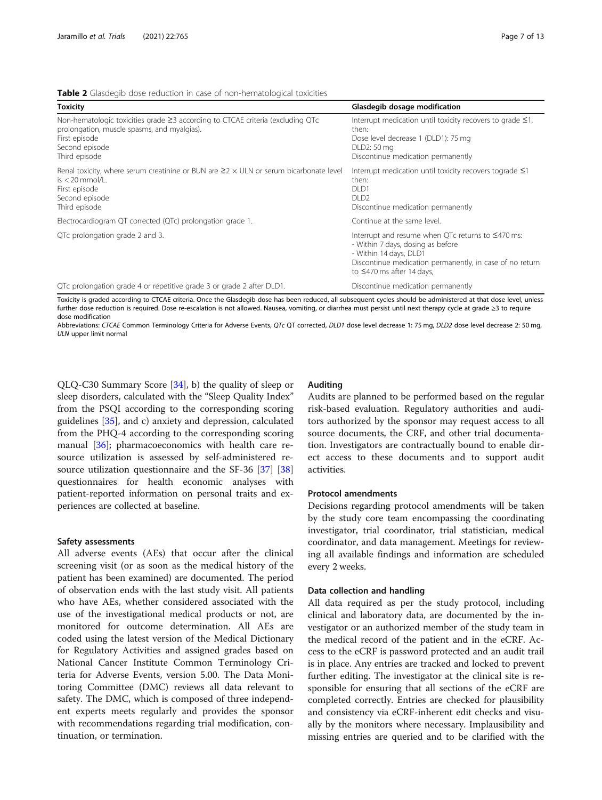<span id="page-6-0"></span>Table 2 Glasdegib dose reduction in case of non-hematological toxicities

| <b>Toxicity</b>                                                                                                                                                                         | Glasdegib dosage modification                                                                                                                                                                                         |
|-----------------------------------------------------------------------------------------------------------------------------------------------------------------------------------------|-----------------------------------------------------------------------------------------------------------------------------------------------------------------------------------------------------------------------|
| Non-hematologic toxicities grade $\geq$ 3 according to CTCAE criteria (excluding QTc<br>prolongation, muscle spasms, and myalgias).<br>First episode<br>Second episode<br>Third episode | Interrupt medication until toxicity recovers to grade $\leq 1$ ,<br>then:<br>Dose level decrease 1 (DLD1): 75 mg<br>DLD2: 50 mg<br>Discontinue medication permanently                                                 |
| Renal toxicity, where serum creatinine or BUN are $\geq$ $2 \times$ ULN or serum bicarbonate level<br>$is < 20$ mmol/L.<br>First episode<br>Second episode<br>Third episode             | Interrupt medication until toxicity recovers tograde ≤1<br>then:<br>DLD1<br>DLD <sub>2</sub><br>Discontinue medication permanently                                                                                    |
| Electrocardiogram QT corrected (QTc) prolongation grade 1.                                                                                                                              | Continue at the same level.                                                                                                                                                                                           |
| QTc prolongation grade 2 and 3.                                                                                                                                                         | Interrupt and resume when QTc returns to $\leq$ 470 ms:<br>- Within 7 days, dosing as before<br>- Within 14 days, DLD1<br>Discontinue medication permanently, in case of no return<br>to $\leq$ 470 ms after 14 days, |
| QTc prolongation grade 4 or repetitive grade 3 or grade 2 after DLD1.                                                                                                                   | Discontinue medication permanently                                                                                                                                                                                    |

Toxicity is graded according to CTCAE criteria. Once the Glasdegib dose has been reduced, all subsequent cycles should be administered at that dose level, unless further dose reduction is required. Dose re-escalation is not allowed. Nausea, vomiting, or diarrhea must persist until next therapy cycle at grade ≥3 to require dose modification

Abbreviations: CTCAE Common Terminology Criteria for Adverse Events, QTc QT corrected, DLD1 dose level decrease 1: 75 mg, DLD2 dose level decrease 2: 50 mg, ULN upper limit normal

QLQ-C30 Summary Score [[34](#page-11-0)], b) the quality of sleep or sleep disorders, calculated with the "Sleep Quality Index" from the PSQI according to the corresponding scoring guidelines [[35\]](#page-11-0), and c) anxiety and depression, calculated from the PHQ-4 according to the corresponding scoring manual [\[36\]](#page-12-0); pharmacoeconomics with health care resource utilization is assessed by self-administered resource utilization questionnaire and the SF-36 [[37](#page-12-0)] [[38](#page-12-0)] questionnaires for health economic analyses with patient-reported information on personal traits and experiences are collected at baseline.

#### Safety assessments

All adverse events (AEs) that occur after the clinical screening visit (or as soon as the medical history of the patient has been examined) are documented. The period of observation ends with the last study visit. All patients who have AEs, whether considered associated with the use of the investigational medical products or not, are monitored for outcome determination. All AEs are coded using the latest version of the Medical Dictionary for Regulatory Activities and assigned grades based on National Cancer Institute Common Terminology Criteria for Adverse Events, version 5.00. The Data Monitoring Committee (DMC) reviews all data relevant to safety. The DMC, which is composed of three independent experts meets regularly and provides the sponsor with recommendations regarding trial modification, continuation, or termination.

## Auditing

Audits are planned to be performed based on the regular risk-based evaluation. Regulatory authorities and auditors authorized by the sponsor may request access to all source documents, the CRF, and other trial documentation. Investigators are contractually bound to enable direct access to these documents and to support audit activities.

#### Protocol amendments

Decisions regarding protocol amendments will be taken by the study core team encompassing the coordinating investigator, trial coordinator, trial statistician, medical coordinator, and data management. Meetings for reviewing all available findings and information are scheduled every 2 weeks.

## Data collection and handling

All data required as per the study protocol, including clinical and laboratory data, are documented by the investigator or an authorized member of the study team in the medical record of the patient and in the eCRF. Access to the eCRF is password protected and an audit trail is in place. Any entries are tracked and locked to prevent further editing. The investigator at the clinical site is responsible for ensuring that all sections of the eCRF are completed correctly. Entries are checked for plausibility and consistency via eCRF-inherent edit checks and visually by the monitors where necessary. Implausibility and missing entries are queried and to be clarified with the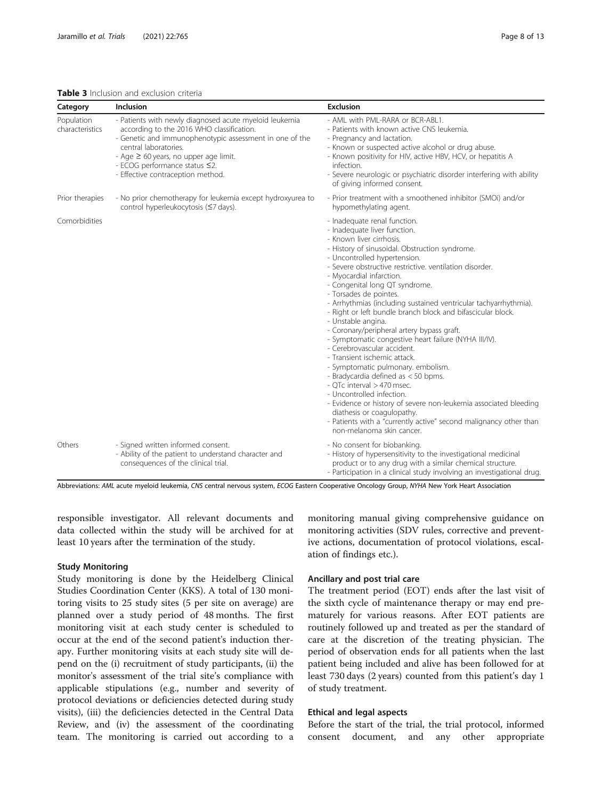#### <span id="page-7-0"></span>Table 3 Inclusion and exclusion criteria

| Category                      | Inclusion                                                                                                                                                                                                                                                                                                   | <b>Exclusion</b>                                                                                                                                                                                                                                                                                                                                                                                                                                                                                                                                                                                                                                                                                                                                                                                                                                                                                                                                                                                         |
|-------------------------------|-------------------------------------------------------------------------------------------------------------------------------------------------------------------------------------------------------------------------------------------------------------------------------------------------------------|----------------------------------------------------------------------------------------------------------------------------------------------------------------------------------------------------------------------------------------------------------------------------------------------------------------------------------------------------------------------------------------------------------------------------------------------------------------------------------------------------------------------------------------------------------------------------------------------------------------------------------------------------------------------------------------------------------------------------------------------------------------------------------------------------------------------------------------------------------------------------------------------------------------------------------------------------------------------------------------------------------|
| Population<br>characteristics | - Patients with newly diagnosed acute myeloid leukemia<br>according to the 2016 WHO classification.<br>- Genetic and immunophenotypic assessment in one of the<br>central laboratories.<br>- Age $\geq 60$ years, no upper age limit.<br>- ECOG performance status ≤2.<br>- Effective contraception method. | - AML with PML-RARA or BCR-ABL1.<br>- Patients with known active CNS leukemia.<br>- Pregnancy and lactation.<br>- Known or suspected active alcohol or drug abuse.<br>- Known positivity for HIV, active HBV, HCV, or hepatitis A<br>infection.<br>- Severe neurologic or psychiatric disorder interfering with ability<br>of giving informed consent.                                                                                                                                                                                                                                                                                                                                                                                                                                                                                                                                                                                                                                                   |
| Prior therapies               | - No prior chemotherapy for leukemia except hydroxyurea to<br>control hyperleukocytosis (≤7 days).                                                                                                                                                                                                          | - Prior treatment with a smoothened inhibitor (SMOi) and/or<br>hypomethylating agent.                                                                                                                                                                                                                                                                                                                                                                                                                                                                                                                                                                                                                                                                                                                                                                                                                                                                                                                    |
| Comorbidities                 |                                                                                                                                                                                                                                                                                                             | - Inadequate renal function.<br>- Inadequate liver function.<br>- Known liver cirrhosis.<br>- History of sinusoidal. Obstruction syndrome.<br>- Uncontrolled hypertension.<br>- Severe obstructive restrictive. ventilation disorder.<br>- Myocardial infarction.<br>- Congenital long QT syndrome.<br>- Torsades de pointes.<br>- Arrhythmias (including sustained ventricular tachyarrhythmia).<br>- Right or left bundle branch block and bifascicular block.<br>- Unstable angina.<br>- Coronary/peripheral artery bypass graft.<br>- Symptomatic congestive heart failure (NYHA III/IV).<br>- Cerebrovascular accident.<br>- Transient ischemic attack.<br>- Symptomatic pulmonary. embolism.<br>- Bradycardia defined as < 50 bpms.<br>- OTc interval > 470 msec.<br>- Uncontrolled infection.<br>- Evidence or history of severe non-leukemia associated bleeding<br>diathesis or coagulopathy.<br>- Patients with a "currently active" second malignancy other than<br>non-melanoma skin cancer. |
| Others                        | - Signed written informed consent.<br>- Ability of the patient to understand character and<br>consequences of the clinical trial.                                                                                                                                                                           | - No consent for biobanking.<br>- History of hypersensitivity to the investigational medicinal<br>product or to any drug with a similar chemical structure.<br>- Participation in a clinical study involving an investigational drug.                                                                                                                                                                                                                                                                                                                                                                                                                                                                                                                                                                                                                                                                                                                                                                    |

Abbreviations: AML acute myeloid leukemia, CNS central nervous system, ECOG Eastern Cooperative Oncology Group, NYHA New York Heart Association

responsible investigator. All relevant documents and data collected within the study will be archived for at least 10 years after the termination of the study.

#### Study Monitoring

Study monitoring is done by the Heidelberg Clinical Studies Coordination Center (KKS). A total of 130 monitoring visits to 25 study sites (5 per site on average) are planned over a study period of 48 months. The first monitoring visit at each study center is scheduled to occur at the end of the second patient's induction therapy. Further monitoring visits at each study site will depend on the (i) recruitment of study participants, (ii) the monitor's assessment of the trial site's compliance with applicable stipulations (e.g., number and severity of protocol deviations or deficiencies detected during study visits), (iii) the deficiencies detected in the Central Data Review, and (iv) the assessment of the coordinating team. The monitoring is carried out according to a

monitoring manual giving comprehensive guidance on monitoring activities (SDV rules, corrective and preventive actions, documentation of protocol violations, escalation of findings etc.).

## Ancillary and post trial care

The treatment period (EOT) ends after the last visit of the sixth cycle of maintenance therapy or may end prematurely for various reasons. After EOT patients are routinely followed up and treated as per the standard of care at the discretion of the treating physician. The period of observation ends for all patients when the last patient being included and alive has been followed for at least 730 days (2 years) counted from this patient's day 1 of study treatment.

## Ethical and legal aspects

Before the start of the trial, the trial protocol, informed consent document, and any other appropriate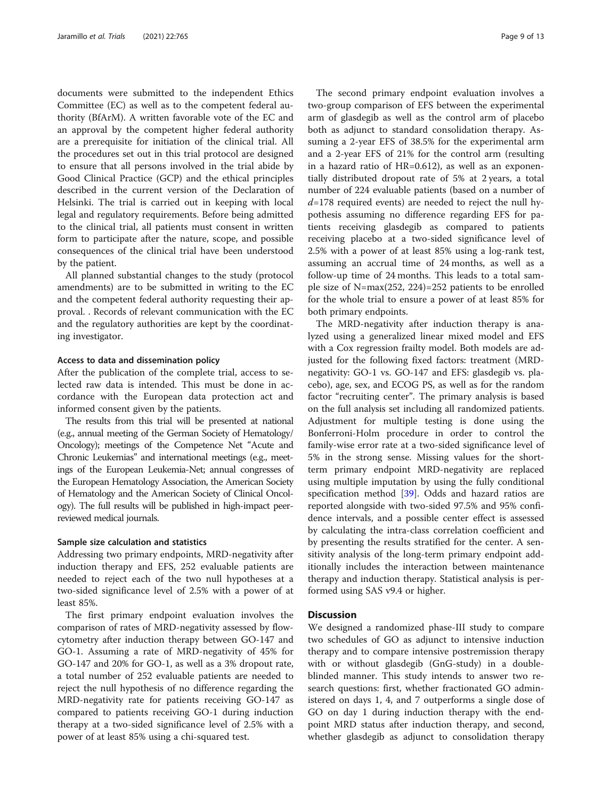documents were submitted to the independent Ethics Committee (EC) as well as to the competent federal authority (BfArM). A written favorable vote of the EC and an approval by the competent higher federal authority are a prerequisite for initiation of the clinical trial. All the procedures set out in this trial protocol are designed to ensure that all persons involved in the trial abide by Good Clinical Practice (GCP) and the ethical principles described in the current version of the Declaration of Helsinki. The trial is carried out in keeping with local legal and regulatory requirements. Before being admitted to the clinical trial, all patients must consent in written form to participate after the nature, scope, and possible consequences of the clinical trial have been understood by the patient.

All planned substantial changes to the study (protocol amendments) are to be submitted in writing to the EC and the competent federal authority requesting their approval. . Records of relevant communication with the EC and the regulatory authorities are kept by the coordinating investigator.

#### Access to data and dissemination policy

After the publication of the complete trial, access to selected raw data is intended. This must be done in accordance with the European data protection act and informed consent given by the patients.

The results from this trial will be presented at national (e.g., annual meeting of the German Society of Hematology/ Oncology); meetings of the Competence Net "Acute and Chronic Leukemias" and international meetings (e.g., meetings of the European Leukemia-Net; annual congresses of the European Hematology Association, the American Society of Hematology and the American Society of Clinical Oncology). The full results will be published in high-impact peerreviewed medical journals.

## Sample size calculation and statistics

Addressing two primary endpoints, MRD-negativity after induction therapy and EFS, 252 evaluable patients are needed to reject each of the two null hypotheses at a two-sided significance level of 2.5% with a power of at least 85%.

The first primary endpoint evaluation involves the comparison of rates of MRD-negativity assessed by flowcytometry after induction therapy between GO-147 and GO-1. Assuming a rate of MRD-negativity of 45% for GO-147 and 20% for GO-1, as well as a 3% dropout rate, a total number of 252 evaluable patients are needed to reject the null hypothesis of no difference regarding the MRD-negativity rate for patients receiving GO-147 as compared to patients receiving GO-1 during induction therapy at a two-sided significance level of 2.5% with a power of at least 85% using a chi-squared test.

The second primary endpoint evaluation involves a two-group comparison of EFS between the experimental arm of glasdegib as well as the control arm of placebo both as adjunct to standard consolidation therapy. Assuming a 2-year EFS of 38.5% for the experimental arm and a 2-year EFS of 21% for the control arm (resulting in a hazard ratio of HR=0.612), as well as an exponentially distributed dropout rate of 5% at 2 years, a total number of 224 evaluable patients (based on a number of  $d=178$  required events) are needed to reject the null hypothesis assuming no difference regarding EFS for patients receiving glasdegib as compared to patients receiving placebo at a two-sided significance level of 2.5% with a power of at least 85% using a log-rank test, assuming an accrual time of 24 months, as well as a follow-up time of 24 months. This leads to a total sample size of N=max(252, 224)=252 patients to be enrolled for the whole trial to ensure a power of at least 85% for both primary endpoints.

The MRD-negativity after induction therapy is analyzed using a generalized linear mixed model and EFS with a Cox regression frailty model. Both models are adjusted for the following fixed factors: treatment (MRDnegativity: GO-1 vs. GO-147 and EFS: glasdegib vs. placebo), age, sex, and ECOG PS, as well as for the random factor "recruiting center". The primary analysis is based on the full analysis set including all randomized patients. Adjustment for multiple testing is done using the Bonferroni-Holm procedure in order to control the family-wise error rate at a two-sided significance level of 5% in the strong sense. Missing values for the shortterm primary endpoint MRD-negativity are replaced using multiple imputation by using the fully conditional specification method [[39\]](#page-12-0). Odds and hazard ratios are reported alongside with two-sided 97.5% and 95% confidence intervals, and a possible center effect is assessed by calculating the intra-class correlation coefficient and by presenting the results stratified for the center. A sensitivity analysis of the long-term primary endpoint additionally includes the interaction between maintenance therapy and induction therapy. Statistical analysis is performed using SAS v9.4 or higher.

### **Discussion**

We designed a randomized phase-III study to compare two schedules of GO as adjunct to intensive induction therapy and to compare intensive postremission therapy with or without glasdegib (GnG-study) in a doubleblinded manner. This study intends to answer two research questions: first, whether fractionated GO administered on days 1, 4, and 7 outperforms a single dose of GO on day 1 during induction therapy with the endpoint MRD status after induction therapy, and second, whether glasdegib as adjunct to consolidation therapy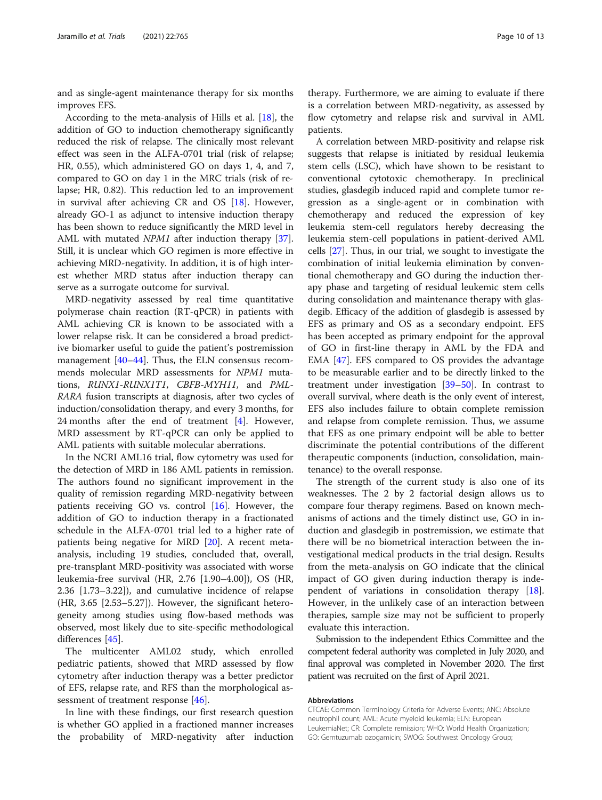and as single-agent maintenance therapy for six months improves EFS.

According to the meta-analysis of Hills et al. [[18\]](#page-11-0), the addition of GO to induction chemotherapy significantly reduced the risk of relapse. The clinically most relevant effect was seen in the ALFA-0701 trial (risk of relapse; HR, 0.55), which administered GO on days 1, 4, and 7, compared to GO on day 1 in the MRC trials (risk of relapse; HR, 0.82). This reduction led to an improvement in survival after achieving CR and OS [[18\]](#page-11-0). However, already GO-1 as adjunct to intensive induction therapy has been shown to reduce significantly the MRD level in AML with mutated *NPM1* after induction therapy [\[37](#page-12-0)]. Still, it is unclear which GO regimen is more effective in achieving MRD-negativity. In addition, it is of high interest whether MRD status after induction therapy can serve as a surrogate outcome for survival.

MRD-negativity assessed by real time quantitative polymerase chain reaction (RT-qPCR) in patients with AML achieving CR is known to be associated with a lower relapse risk. It can be considered a broad predictive biomarker useful to guide the patient's postremission management [\[40](#page-12-0)–[44\]](#page-12-0). Thus, the ELN consensus recommends molecular MRD assessments for NPM1 mutations, RUNX1-RUNX1T1, CBFB-MYH11, and PML-RARA fusion transcripts at diagnosis, after two cycles of induction/consolidation therapy, and every 3 months, for 24 months after the end of treatment [\[4](#page-11-0)]. However, MRD assessment by RT-qPCR can only be applied to AML patients with suitable molecular aberrations.

In the NCRI AML16 trial, flow cytometry was used for the detection of MRD in 186 AML patients in remission. The authors found no significant improvement in the quality of remission regarding MRD-negativity between patients receiving GO vs. control [\[16](#page-11-0)]. However, the addition of GO to induction therapy in a fractionated schedule in the ALFA-0701 trial led to a higher rate of patients being negative for MRD [\[20\]](#page-11-0). A recent metaanalysis, including 19 studies, concluded that, overall, pre-transplant MRD-positivity was associated with worse leukemia-free survival (HR, 2.76 [1.90–4.00]), OS (HR, 2.36 [1.73–3.22]), and cumulative incidence of relapse (HR, 3.65 [2.53–5.27]). However, the significant heterogeneity among studies using flow-based methods was observed, most likely due to site-specific methodological differences [[45\]](#page-12-0).

The multicenter AML02 study, which enrolled pediatric patients, showed that MRD assessed by flow cytometry after induction therapy was a better predictor of EFS, relapse rate, and RFS than the morphological as-sessment of treatment response [\[46](#page-12-0)].

In line with these findings, our first research question is whether GO applied in a fractioned manner increases the probability of MRD-negativity after induction

therapy. Furthermore, we are aiming to evaluate if there is a correlation between MRD-negativity, as assessed by flow cytometry and relapse risk and survival in AML patients.

A correlation between MRD-positivity and relapse risk suggests that relapse is initiated by residual leukemia stem cells (LSC), which have shown to be resistant to conventional cytotoxic chemotherapy. In preclinical studies, glasdegib induced rapid and complete tumor regression as a single-agent or in combination with chemotherapy and reduced the expression of key leukemia stem-cell regulators hereby decreasing the leukemia stem-cell populations in patient-derived AML cells [[27\]](#page-11-0). Thus, in our trial, we sought to investigate the combination of initial leukemia elimination by conventional chemotherapy and GO during the induction therapy phase and targeting of residual leukemic stem cells during consolidation and maintenance therapy with glasdegib. Efficacy of the addition of glasdegib is assessed by EFS as primary and OS as a secondary endpoint. EFS has been accepted as primary endpoint for the approval of GO in first-line therapy in AML by the FDA and EMA [\[47\]](#page-12-0). EFS compared to OS provides the advantage to be measurable earlier and to be directly linked to the treatment under investigation [[39](#page-12-0)–[50](#page-12-0)]. In contrast to overall survival, where death is the only event of interest, EFS also includes failure to obtain complete remission and relapse from complete remission. Thus, we assume that EFS as one primary endpoint will be able to better discriminate the potential contributions of the different therapeutic components (induction, consolidation, maintenance) to the overall response.

The strength of the current study is also one of its weaknesses. The 2 by 2 factorial design allows us to compare four therapy regimens. Based on known mechanisms of actions and the timely distinct use, GO in induction and glasdegib in postremission, we estimate that there will be no biometrical interaction between the investigational medical products in the trial design. Results from the meta-analysis on GO indicate that the clinical impact of GO given during induction therapy is independent of variations in consolidation therapy [\[18](#page-11-0)]. However, in the unlikely case of an interaction between therapies, sample size may not be sufficient to properly evaluate this interaction.

Submission to the independent Ethics Committee and the competent federal authority was completed in July 2020, and final approval was completed in November 2020. The first patient was recruited on the first of April 2021.

#### Abbreviations

CTCAE: Common Terminology Criteria for Adverse Events; ANC: Absolute neutrophil count; AML: Acute myeloid leukemia; ELN: European LeukemiaNet; CR: Complete remission; WHO: World Health Organization; GO: Gemtuzumab ozogamicin; SWOG: Southwest Oncology Group;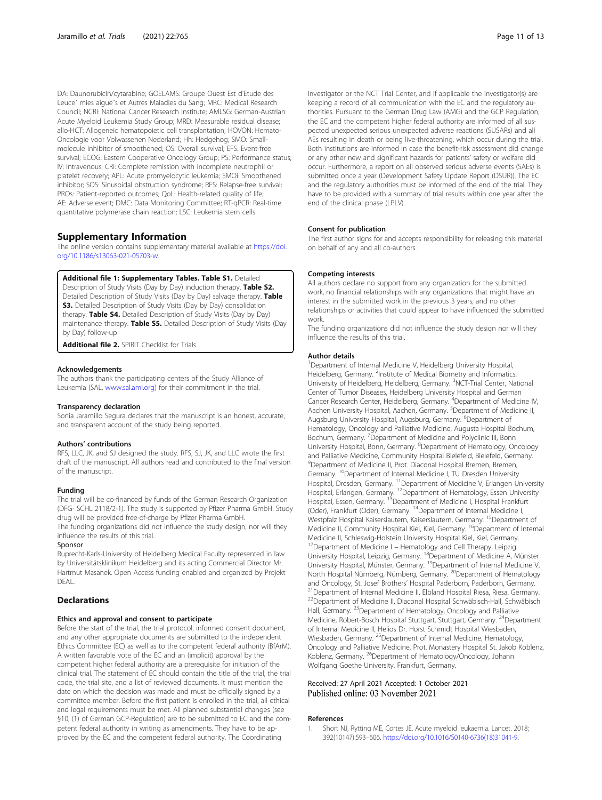<span id="page-10-0"></span>DA: Daunorubicin/cytarabine; GOELAMS: Groupe Ouest Est d'Etude des Leuce´ mies aigue¨s et Autres Maladies du Sang; MRC: Medical Research Council; NCRI: National Cancer Research Institute; AMLSG: German-Austrian Acute Myeloid Leukemia Study Group; MRD: Measurable residual disease; allo-HCT: Allogeneic hematopoietic cell transplantation; HOVON: Hemato-Oncologie voor Volwassenen Nederland; Hh: Hedgehog; SMO: Smallmolecule inhibitor of smoothened; OS: Overall survival; EFS: Event-free survival; ECOG: Eastern Cooperative Oncology Group; PS: Performance status; IV: Intravenous; CRi: Complete remission with incomplete neutrophil or platelet recovery; APL: Acute promyelocytic leukemia; SMOi: Smoothened inhibitor; SOS: Sinusoidal obstruction syndrome; RFS: Relapse-free survival; PROs: Patient-reported outcomes; QoL: Health-related quality of life; AE: Adverse event; DMC: Data Monitoring Committee; RT-qPCR: Real-time quantitative polymerase chain reaction; LSC: Leukemia stem cells

## Supplementary Information

The online version contains supplementary material available at [https://doi.](https://doi.org/10.1186/s13063-021-05703-w) [org/10.1186/s13063-021-05703-w](https://doi.org/10.1186/s13063-021-05703-w).

Additional file 1: Supplementary Tables. Table S1. Detailed

Description of Study Visits (Day by Day) induction therapy. Table S2. Detailed Description of Study Visits (Day by Day) salvage therapy. Table **S3.** Detailed Description of Study Visits (Day by Day) consolidation therapy. Table S4. Detailed Description of Study Visits (Day by Day) maintenance therapy. Table S5. Detailed Description of Study Visits (Day by Day) follow-up

Additional file 2. SPIRIT Checklist for Trials

#### Acknowledgements

The authors thank the participating centers of the Study Alliance of Leukemia (SAL, [www.sal.aml.org](http://www.sal.aml.org)) for their commitment in the trial.

#### Transparency declaration

Sonia Jaramillo Segura declares that the manuscript is an honest, accurate, and transparent account of the study being reported.

#### Authors' contributions

RFS, LLC, JK, and SJ designed the study. RFS, SJ, JK, and LLC wrote the first draft of the manuscript. All authors read and contributed to the final version of the manuscript.

#### Funding

The trial will be co-financed by funds of the German Research Organization (DFG- SCHL 2118/2-1). The study is supported by Pfizer Pharma GmbH. Study drug will be provided free-of-charge by Pfizer Pharma GmbH.

The funding organizations did not influence the study design, nor will they influence the results of this trial.

#### Sponsor

Ruprecht-Karls-University of Heidelberg Medical Faculty represented in law by Universitätsklinikum Heidelberg and its acting Commercial Director Mr. Hartmut Masanek. Open Access funding enabled and organized by Projekt DEAL.

### **Declarations**

#### Ethics and approval and consent to participate

Before the start of the trial, the trial protocol, informed consent document, and any other appropriate documents are submitted to the independent Ethics Committee (EC) as well as to the competent federal authority (BfArM). A written favorable vote of the EC and an (implicit) approval by the competent higher federal authority are a prerequisite for initiation of the clinical trial. The statement of EC should contain the title of the trial, the trial code, the trial site, and a list of reviewed documents. It must mention the date on which the decision was made and must be officially signed by a committee member. Before the first patient is enrolled in the trial, all ethical and legal requirements must be met. All planned substantial changes (see §10, (1) of German GCP-Regulation) are to be submitted to EC and the competent federal authority in writing as amendments. They have to be approved by the EC and the competent federal authority. The Coordinating

Investigator or the NCT Trial Center, and if applicable the investigator(s) are keeping a record of all communication with the EC and the regulatory authorities. Pursuant to the German Drug Law (AMG) and the GCP Regulation, the EC and the competent higher federal authority are informed of all suspected unexpected serious unexpected adverse reactions (SUSARs) and all AEs resulting in death or being live-threatening, which occur during the trial. Both institutions are informed in case the benefit-risk assessment did change or any other new and significant hazards for patients' safety or welfare did occur. Furthermore, a report on all observed serious adverse events (SAEs) is submitted once a year (Development Safety Update Report (DSUR)). The EC and the regulatory authorities must be informed of the end of the trial. They have to be provided with a summary of trial results within one year after the end of the clinical phase (LPLV).

#### Consent for publication

The first author signs for and accepts responsibility for releasing this material on behalf of any and all co-authors.

#### Competing interests

All authors declare no support from any organization for the submitted work, no financial relationships with any organizations that might have an interest in the submitted work in the previous 3 years, and no other relationships or activities that could appear to have influenced the submitted work.

The funding organizations did not influence the study design nor will they influence the results of this trial.

#### Author details

<sup>1</sup>Department of Internal Medicine V, Heidelberg University Hospital Heidelberg, Germany. <sup>2</sup>Institute of Medical Biometry and Informatics University of Heidelberg, Heidelberg, Germany. <sup>3</sup>NCT-Trial Center, National Center of Tumor Diseases, Heidelberg University Hospital and German Cancer Research Center, Heidelberg, Germany. <sup>4</sup>Department of Medicine IV Aachen University Hospital, Aachen, Germany. <sup>5</sup>Department of Medicine II Augsburg University Hospital, Augsburg, Germany. <sup>6</sup>Department of Hematology, Oncology and Palliative Medicine, Augusta Hospital Bochum, Bochum, Germany. <sup>7</sup>Department of Medicine and Polyclinic III, Bonn University Hospital, Bonn, Germany. <sup>8</sup>Department of Hematology, Oncology and Palliative Medicine, Community Hospital Bielefeld, Bielefeld, Germany. <sup>9</sup>Department of Medicine II, Prot. Diaconal Hospital Bremen, Bremen, Germany. <sup>10</sup>Department of Internal Medicine I, TU Dresden University Hospital, Dresden, Germany. <sup>11</sup>Department of Medicine V, Erlangen University Hospital, Erlangen, Germany. <sup>12</sup>Department of Hematology, Essen University Hospital, Essen, Germany. <sup>13</sup>Department of Medicine I, Hospital Frankfurt (Oder), Frankfurt (Oder), Germany. 14Department of Internal Medicine I, Westpfalz Hospital Kaiserslautern, Kaiserslautern, Germany. <sup>15</sup>Department of Medicine II, Community Hospital Kiel, Kiel, Germany. <sup>16</sup>Department of Internal Medicine II, Schleswig-Holstein University Hospital Kiel, Kiel, Germany. <sup>17</sup>Department of Medicine I – Hematology and Cell Therapy, Leipzig University Hospital, Leipzig, Germany. <sup>18</sup>Department of Medicine A, Münster University Hospital, Münster, Germany. <sup>19</sup>Department of Internal Medicine V, North Hospital Nürnberg, Nürnberg, Germany. <sup>20</sup>Department of Hematology and Oncology, St. Josef Brothers' Hospital Paderborn, Paderborn, Germany.<br><sup>21</sup>Department of Internal Medicine II. Elbland Hospital Riesa, Riesa, Germany. 22Department of Medicine II, Diaconal Hospital Schwäbisch-Hall, Schwäbisch Hall, Germany. 23Department of Hematology, Oncology and Palliative Medicine, Robert-Bosch Hospital Stuttgart, Stuttgart, Germany. <sup>24</sup>Department of Internal Medicine II, Helios Dr. Horst Schmidt Hospital Wiesbaden, Wiesbaden, Germany. <sup>25</sup>Department of Internal Medicine, Hematology, Oncology and Palliative Medicine, Prot. Monastery Hospital St. Jakob Koblenz, Koblenz, Germany. <sup>26</sup>Department of Hematology/Oncology, Johann Wolfgang Goethe University, Frankfurt, Germany.

### Received: 27 April 2021 Accepted: 1 October 2021 Published online: 03 November 2021

#### References

1. Short NJ, Rytting ME, Cortes JE. Acute myeloid leukaemia. Lancet. 2018; 392(10147):593–606. [https://doi.org/10.1016/S0140-6736\(18\)31041-9](https://doi.org/10.1016/S0140-6736(18)31041-9).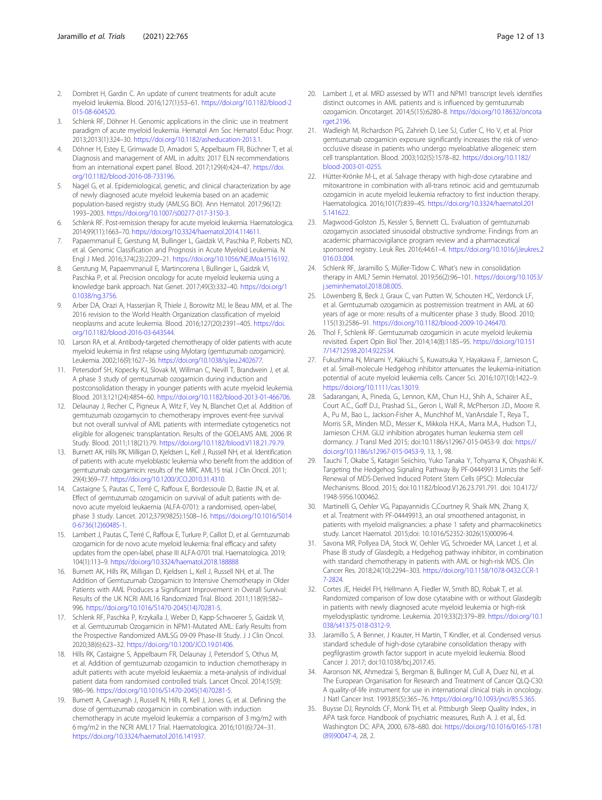- <span id="page-11-0"></span>2. Dombret H, Gardin C. An update of current treatments for adult acute myeloid leukemia. Blood. 2016;127(1):53–61. [https://doi.org/10.1182/blood-2](https://doi.org/10.1182/blood-2015-08-604520) [015-08-604520](https://doi.org/10.1182/blood-2015-08-604520).
- Schlenk RF, Döhner H. Genomic applications in the clinic: use in treatment paradigm of acute myeloid leukemia. Hematol Am Soc Hematol Educ Progr. 2013;2013(1):324–30. <https://doi.org/10.1182/asheducation-2013.1>.
- Döhner H, Estey E, Grimwade D, Amadori S, Appelbaum FR, Büchner T, et al. Diagnosis and management of AML in adults: 2017 ELN recommendations from an international expert panel. Blood. 2017;129(4):424–47. [https://doi.](https://doi.org/10.1182/blood-2016-08-733196) [org/10.1182/blood-2016-08-733196.](https://doi.org/10.1182/blood-2016-08-733196)
- 5. Nagel G, et al. Epidemiological, genetic, and clinical characterization by age of newly diagnosed acute myeloid leukemia based on an academic population-based registry study (AMLSG BiO). Ann Hematol. 2017;96(12): 1993–2003. <https://doi.org/10.1007/s00277-017-3150-3>.
- 6. Schlenk RF. Post-remission therapy for acute myeloid leukemia. Haematologica. 2014;99(11):1663–70. [https://doi.org/10.3324/haematol.2014.114611.](https://doi.org/10.3324/haematol.2014.114611)
- 7. Papaemmanuil E, Gerstung M, Bullinger L, Gaidzik VI, Paschka P, Roberts ND, et al. Genomic Classification and Prognosis in Acute Myeloid Leukemia. N Engl J Med. 2016;374(23):2209–21. [https://doi.org/10.1056/NEJMoa1516192.](https://doi.org/10.1056/NEJMoa1516192)
- 8. Gerstung M, Papaemmanuil E, Martincorena I, Bullinger L, Gaidzik VI, Paschka P, et al. Precision oncology for acute myeloid leukemia using a knowledge bank approach. Nat Genet. 2017;49(3):332–40. [https://doi.org/1](https://doi.org/10.1038/ng.3756) [0.1038/ng.3756.](https://doi.org/10.1038/ng.3756)
- Arber DA, Orazi A, Hasserjian R, Thiele J, Borowitz MJ, le Beau MM, et al. The 2016 revision to the World Health Organization classification of myeloid neoplasms and acute leukemia. Blood. 2016;127(20):2391–405. [https://doi.](https://doi.org/10.1182/blood-2016-03-643544) [org/10.1182/blood-2016-03-643544.](https://doi.org/10.1182/blood-2016-03-643544)
- 10. Larson RA, et al. Antibody-targeted chemotherapy of older patients with acute myeloid leukemia in first relapse using Mylotarg (gemtuzumab ozogamicin). Leukemia. 2002;16(9):1627–36. <https://doi.org/10.1038/sj.leu.2402677>.
- 11. Petersdorf SH, Kopecky KJ, Slovak M, Willman C, Nevill T, Brandwein J, et al. A phase 3 study of gemtuzumab ozogamicin during induction and postconsolidation therapy in younger patients with acute myeloid leukemia. Blood. 2013;121(24):4854–60. [https://doi.org/10.1182/blood-2013-01-466706.](https://doi.org/10.1182/blood-2013-01-466706)
- 12. Delaunay J, Recher C, Pigneux A, Witz F, Vey N, Blanchet O,et al. Addition of gemtuzumab ozogamycin to chemotherapy improves event-free survival but not overall survival of AML patients with intermediate cytogenetics not eligible for allogeneic transplantation. Results of the GOELAMS AML 2006 IR Study. Blood. 2011;118(21):79. [https://doi.org/10.1182/blood.V118.21.79.79.](https://doi.org/10.1182/blood.V118.21.79.79)
- 13. Burnett AK, Hills RK, Milligan D, Kjeldsen L, Kell J, Russell NH, et al. Identification of patients with acute myeloblastic leukemia who benefit from the addition of gemtuzumab ozogamicin: results of the MRC AML15 trial. J Clin Oncol. 2011; 29(4):369–77. [https://doi.org/10.1200/JCO.2010.31.4310.](https://doi.org/10.1200/JCO.2010.31.4310)
- 14. Castaigne S, Pautas C, Terré C, Raffoux E, Bordessoule D, Bastie JN, et al. Effect of gemtuzumab ozogamicin on survival of adult patients with denovo acute myeloid leukaemia (ALFA-0701): a randomised, open-label, phase 3 study. Lancet. 2012;379(9825):1508–16. [https://doi.org/10.1016/S014](https://doi.org/10.1016/S0140-6736(12)60485-1) [0-6736\(12\)60485-1.](https://doi.org/10.1016/S0140-6736(12)60485-1)
- 15. Lambert J, Pautas C, Terré C, Raffoux E, Turlure P, Caillot D, et al. Gemtuzumab ozogamicin for de novo acute myeloid leukemia: final efficacy and safety updates from the open-label, phase III ALFA-0701 trial. Haematologica. 2019; 104(1):113–9. <https://doi.org/10.3324/haematol.2018.188888>
- 16. Burnett AK, Hills RK, Milligan D, Kjeldsen L, Kell J, Russell NH, et al. The Addition of Gemtuzumab Ozogamicin to Intensive Chemotherapy in Older Patients with AML Produces a Significant Improvement in Overall Survival: Results of the UK NCRI AML16 Randomized Trial. Blood. 2011;118(9):582– 996. [https://doi.org/10.1016/S1470-2045\(14\)70281-5](https://doi.org/10.1016/S1470-2045(14)70281-5).
- 17. Schlenk RF, Paschka P, Krzykalla J, Weber D, Kapp-Schwoerer S, Gaidzik VI, et al. Gemtuzumab Ozogamicin in NPM1-Mutated AML: Early Results from the Prospective Randomized AMLSG 09-09 Phase-III Study. J J Clin Oncol. 2020;38(6):623–32. <https://doi.org/10.1200/JCO.19.01406>.
- 18. Hills RK, Castaigne S, Appelbaum FR, Delaunay J, Petersdorf S, Othus M, et al. Addition of gemtuzumab ozogamicin to induction chemotherapy in adult patients with acute myeloid leukaemia: a meta-analysis of individual patient data from randomised controlled trials. Lancet Oncol. 2014;15(9): 986–96. [https://doi.org/10.1016/S1470-2045\(14\)70281-5.](https://doi.org/10.1016/S1470-2045(14)70281-5)
- 19. Burnett A, Cavenagh J, Russell N, Hills R, Kell J, Jones G, et al. Defining the dose of gemtuzumab ozogamicin in combination with induction chemotherapy in acute myeloid leukemia: a comparison of 3 mg/m2 with 6 mg/m2 in the NCRI AML17 Trial. Haematologica. 2016;101(6):724–31. <https://doi.org/10.3324/haematol.2016.141937>.
- 20. Lambert J, et al. MRD assessed by WT1 and NPM1 transcript levels identifies distinct outcomes in AML patients and is influenced by gemtuzumab ozogamicin. Oncotarget. 2014;5(15):6280–8. [https://doi.org/10.18632/oncota](https://doi.org/10.18632/oncotarget.2196) [rget.2196](https://doi.org/10.18632/oncotarget.2196).
- 21. Wadleigh M, Richardson PG, Zahrieh D, Lee SJ, Cutler C, Ho V, et al. Prior gemtuzumab ozogamicin exposure significantly increases the risk of venoocclusive disease in patients who undergo myeloablative allogeneic stem cell transplantation. Blood. 2003;102(5):1578–82. [https://doi.org/10.1182/](https://doi.org/10.1182/blood-2003-01-0255) [blood-2003-01-0255.](https://doi.org/10.1182/blood-2003-01-0255)
- 22. Hütter-Krönke M-L, et al. Salvage therapy with high-dose cytarabine and mitoxantrone in combination with all-trans retinoic acid and gemtuzumab ozogamicin in acute myeloid leukemia refractory to first induction therapy. Haematologica. 2016;101(7):839–45. [https://doi.org/10.3324/haematol.201](https://doi.org/10.3324/haematol.2015.141622) [5.141622.](https://doi.org/10.3324/haematol.2015.141622)
- 23. Magwood-Golston JS, Kessler S, Bennett CL. Evaluation of gemtuzumab ozogamycin associated sinusoidal obstructive syndrome: Findings from an academic pharmacovigilance program review and a pharmaceutical sponsored registry. Leuk Res. 2016;44:61–4. [https://doi.org/10.1016/j.leukres.2](https://doi.org/10.1016/j.leukres.2016.03.004) [016.03.004](https://doi.org/10.1016/j.leukres.2016.03.004).
- 24. Schlenk RF, Jaramillo S, Müller-Tidow C. What's new in consolidation therapy in AML? Semin Hematol. 2019;56(2):96–101. [https://doi.org/10.1053/](https://doi.org/10.1053/j.seminhematol.2018.08.005) [j.seminhematol.2018.08.005](https://doi.org/10.1053/j.seminhematol.2018.08.005).
- 25. Löwenberg B, Beck J, Graux C, van Putten W, Schouten HC, Verdonck LF, et al. Gemtuzumab ozogamicin as postremission treatment in AML at 60 years of age or more: results of a multicenter phase 3 study. Blood. 2010; 115(13):2586–91. <https://doi.org/10.1182/blood-2009-10-246470>.
- 26. Thol F, Schlenk RF. Gemtuzumab ozogamicin in acute myeloid leukemia revisited. Expert Opin Biol Ther. 2014;14(8):1185–95. [https://doi.org/10.151](https://doi.org/10.1517/14712598.2014.922534) [7/14712598.2014.922534](https://doi.org/10.1517/14712598.2014.922534).
- 27. Fukushima N, Minami Y, Kakiuchi S, Kuwatsuka Y, Hayakawa F, Jamieson C, et al. Small-molecule Hedgehog inhibitor attenuates the leukemia-initiation potential of acute myeloid leukemia cells. Cancer Sci. 2016;107(10):1422–9. <https://doi.org/10.1111/cas.13019>.
- 28. Sadarangani, A., Pineda, G., Lennon, K.M., Chun H.J., Shih A., Schairer A.E., Court A.C., Goff D.J., Prashad S.L., Geron I., Wall R., McPherson J.D., Moore R. A., Pu M., Bao L., Jackson-Fisher A., Munchhof M., VanArsdale T., Reya T., Morris S.R., Minden M.D., Messer K., Mikkola H.K.A., Marra M.A., Hudson T.J., Jamieson C.H.M. GLI2 inhibition abrogates human leukemia stem cell dormancy. J Transl Med 2015; doi:10.1186/s12967-015-0453-9. doi: [https://](https://doi.org/10.1186/s12967-015-0453-9) [doi.org/10.1186/s12967-015-0453-9,](https://doi.org/10.1186/s12967-015-0453-9) 13, 1, 98.
- 29. Tauchi T, Okabe S, Katagiri Seiichiro, Yuko Tanaka Y, Tohyama K, Ohyashiki K. Targeting the Hedgehog Signaling Pathway By PF-04449913 Limits the Self-Renewal of MDS-Derived Induced Potent Stem Cells (iPSC): Molecular Mechanisms. Blood. 2015; doi:10.1182/blood.V126.23.791.791. doi: 10.4172/ 1948-5956.1000462.
- 30. Martinelli G, Oehler VG, Papayannidis C,Courtney R, Shaik MN, Zhang X, et al. Treatment with PF-04449913, an oral smoothened antagonist, in patients with myeloid malignancies: a phase 1 safety and pharmacokinetics study. Lancet Haematol. 2015;doi: 10.1016/S2352-3026(15)00096-4.
- 31. Savona MR, Pollyea DA, Stock W, Oehler VG, Schroeder MA, Lancet J, et al. Phase IB study of Glasdegib, a Hedgehog pathway inhibitor, in combination with standard chemotherapy in patients with AML or high-risk MDS. Clin Cancer Res. 2018;24(10):2294–303. [https://doi.org/10.1158/1078-0432.CCR-1](https://doi.org/10.1158/1078-0432.CCR-17-2824) [7-2824.](https://doi.org/10.1158/1078-0432.CCR-17-2824)
- 32. Cortes JE, Heidel FH, Hellmann A, Fiedler W, Smith BD, Robak T, et al. Randomized comparison of low dose cytarabine with or without Glasdegib in patients with newly diagnosed acute myeloid leukemia or high-risk myelodysplastic syndrome. Leukemia. 2019;33(2):379–89. [https://doi.org/10.1](https://doi.org/10.1038/s41375-018-0312-9) [038/s41375-018-0312-9.](https://doi.org/10.1038/s41375-018-0312-9)
- 33. Jaramillo S, A Benner, J Krauter, H Martin, T Kindler, et al. Condensed versus standard schedule of high-dose cytarabine consolidation therapy with pegfilgrastim growth factor support in acute myeloid leukemia. Blood Cancer J. 2017; doi:10.1038/bcj.2017.45.
- 34. Aaronson NK, Ahmedzai S, Bergman B, Bullinger M, Cull A, Duez NJ, et al. The European Organisation for Research and Treatment of Cancer QLQ-C30: A quality-of-life instrument for use in international clinical trials in oncology. J Natl Cancer Inst. 1993;85(5):365–76. <https://doi.org/10.1093/jnci/85.5.365>.
- 35. Buysse DJ, Reynolds CF, Monk TH, et al. Pittsburgh Sleep Quality Index., in APA task force. Handbook of psychiatric measures, Rush A. J. et al., Ed. Washington DC: APA, 2000, 678–680. doi: [https://doi.org/10.1016/0165-1781](https://doi.org/10.1016/0165-1781(89)90047-4) [\(89\)90047-4,](https://doi.org/10.1016/0165-1781(89)90047-4) 28, 2.